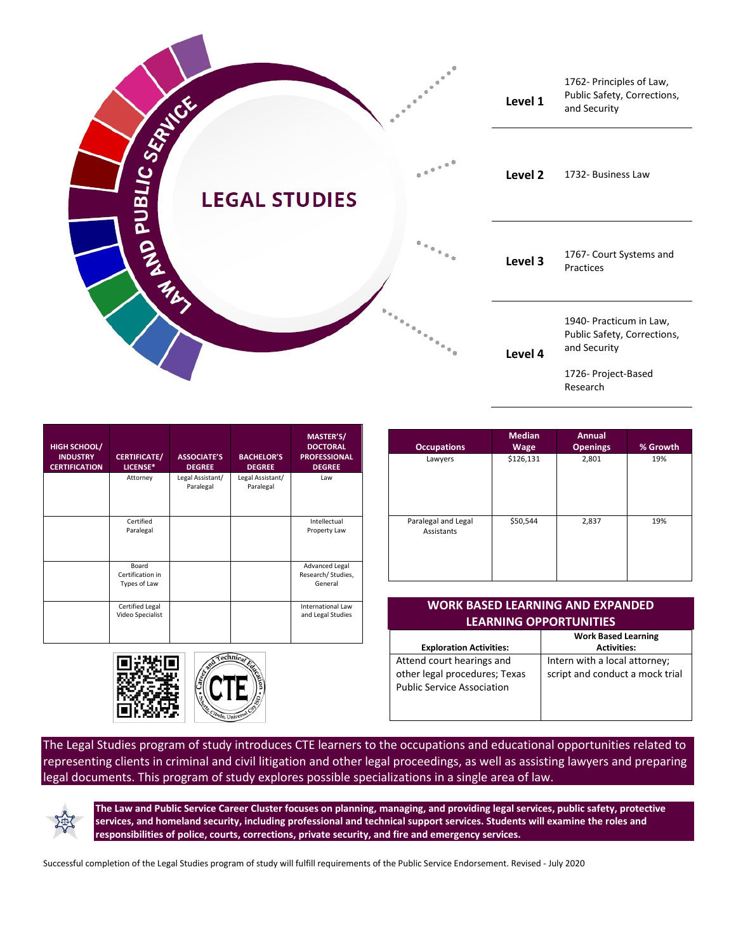

| <b>HIGH SCHOOL/</b><br><b>INDUSTRY</b><br><b>CERTIFICATION</b> | <b>CERTIFICATE/</b><br>LICENSE*            | <b>ASSOCIATE'S</b><br><b>DEGREE</b> | <b>BACHELOR'S</b><br><b>DEGREE</b> | <b>MASTER'S/</b><br><b>DOCTORAL</b><br><b>PROFESSIONAL</b><br><b>DEGREE</b> |
|----------------------------------------------------------------|--------------------------------------------|-------------------------------------|------------------------------------|-----------------------------------------------------------------------------|
|                                                                | Attorney                                   | Legal Assistant/<br>Paralegal       | Legal Assistant/<br>Paralegal      | Law                                                                         |
|                                                                | Certified<br>Paralegal                     |                                     |                                    | Intellectual<br>Property Law                                                |
|                                                                | Board<br>Certification in<br>Types of Law  |                                     |                                    | Advanced Legal<br>Research/Studies,<br>General                              |
|                                                                | <b>Certified Legal</b><br>Video Specialist |                                     |                                    | <b>International Law</b><br>and Legal Studies                               |



| <b>Occupations</b>                | <b>Median</b><br><b>Wage</b> | Annual<br><b>Openings</b> | % Growth |
|-----------------------------------|------------------------------|---------------------------|----------|
| Lawyers                           | \$126,131                    | 2,801                     | 19%      |
| Paralegal and Legal<br>Assistants | \$50,544                     | 2,837                     | 19%      |

| <b>WORK BASED LEARNING AND EXPANDED</b><br><b>LEARNING OPPORTUNITIES</b> |                                 |  |  |  |  |
|--------------------------------------------------------------------------|---------------------------------|--|--|--|--|
|                                                                          | <b>Work Based Learning</b>      |  |  |  |  |
| <b>Exploration Activities:</b>                                           | <b>Activities:</b>              |  |  |  |  |
| Attend court hearings and                                                | Intern with a local attorney;   |  |  |  |  |
| other legal procedures; Texas                                            | script and conduct a mock trial |  |  |  |  |
| <b>Public Service Association</b>                                        |                                 |  |  |  |  |
|                                                                          |                                 |  |  |  |  |
|                                                                          |                                 |  |  |  |  |

The Legal Studies program of study introduces CTE learners to the occupations and educational opportunities related to representing clients in criminal and civil litigation and other legal proceedings, as well as assisting lawyers and preparing legal documents. This program of study explores possible specializations in a single area of law.



**The Law and Public Service Career Cluster focuses on planning, managing, and providing legal services, public safety, protective services, and homeland security, including professional and technical support services. Students will examine the roles and responsibilities of police, courts, corrections, private security, and fire and emergency services.**

Successful completion of the Legal Studies program of study will fulfill requirements of the Public Service Endorsement. Revised - July 2020